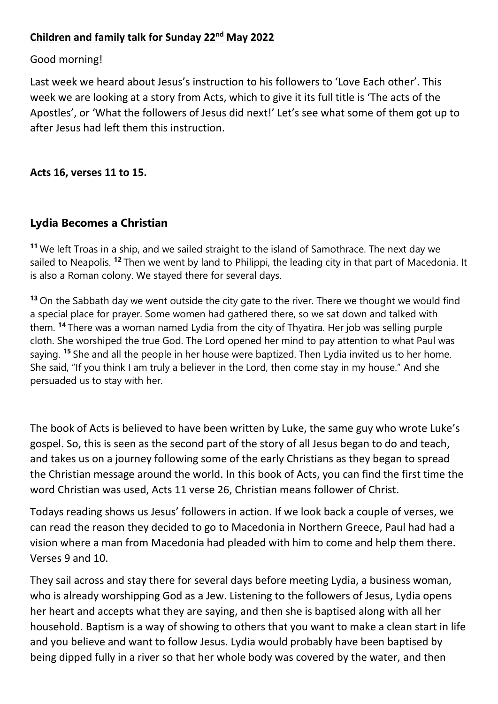## **Children and family talk for Sunday 22nd May 2022**

## Good morning!

Last week we heard about Jesus's instruction to his followers to 'Love Each other'. This week we are looking at a story from Acts, which to give it its full title is 'The acts of the Apostles', or 'What the followers of Jesus did next!' Let's see what some of them got up to after Jesus had left them this instruction.

**Acts 16, verses 11 to 15.** 

## **Lydia Becomes a Christian**

**<sup>11</sup>** We left Troas in a ship, and we sailed straight to the island of Samothrace. The next day we sailed to Neapolis. **<sup>12</sup>** Then we went by land to Philippi, the leading city in that part of Macedonia. It is also a Roman colony. We stayed there for several days.

**<sup>13</sup>** On the Sabbath day we went outside the city gate to the river. There we thought we would find a special place for prayer. Some women had gathered there, so we sat down and talked with them. **<sup>14</sup>** There was a woman named Lydia from the city of Thyatira. Her job was selling purple cloth. She worshiped the true God. The Lord opened her mind to pay attention to what Paul was saying. **<sup>15</sup>** She and all the people in her house were baptized. Then Lydia invited us to her home. She said, "If you think I am truly a believer in the Lord, then come stay in my house." And she persuaded us to stay with her.

The book of Acts is believed to have been written by Luke, the same guy who wrote Luke's gospel. So, this is seen as the second part of the story of all Jesus began to do and teach, and takes us on a journey following some of the early Christians as they began to spread the Christian message around the world. In this book of Acts, you can find the first time the word Christian was used, Acts 11 verse 26, Christian means follower of Christ.

Todays reading shows us Jesus' followers in action. If we look back a couple of verses, we can read the reason they decided to go to Macedonia in Northern Greece, Paul had had a vision where a man from Macedonia had pleaded with him to come and help them there. Verses 9 and 10.

They sail across and stay there for several days before meeting Lydia, a business woman, who is already worshipping God as a Jew. Listening to the followers of Jesus, Lydia opens her heart and accepts what they are saying, and then she is baptised along with all her household. Baptism is a way of showing to others that you want to make a clean start in life and you believe and want to follow Jesus. Lydia would probably have been baptised by being dipped fully in a river so that her whole body was covered by the water, and then